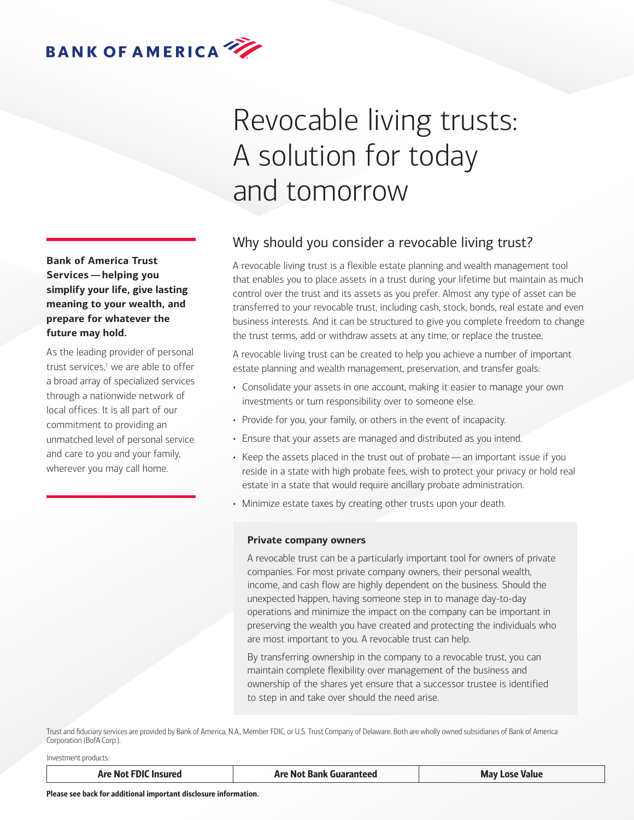

# Revocable living trusts: A solution for today and tomorrow

# Why should you consider a revocable living trust?

A revocable living trust is a flexible estate planning and wealth management tool that enables you to place assets in a trust during your lifetime but maintain as much control over the trust and its assets as you prefer. Almost any type of asset can be transferred to your revocable trust, including cash, stock, bonds, real estate and even business interests. And it can be structured to give you complete freedom to change the trust terms, add or withdraw assets at any time, or replace the trustee.

A revocable living trust can be created to help you achieve a number of important estate planning and wealth management, preservation, and transfer goals:

- Consolidate your assets in one account, making it easier to manage your own investments or turn responsibility over to someone else.
- Provide for you, your family, or others in the event of incapacity.
- Ensure that your assets are managed and distributed as you intend.
- Keep the assets placed in the trust out of probate—an important issue if you reside in a state with high probate fees, wish to protect your privacy or hold real estate in a state that would require ancillary probate administration.
- Minimize estate taxes by creating other trusts upon your death.

## **Private company owners**

A revocable trust can be a particularly important tool for owners of private companies. For most private company owners, their personal wealth, income, and cash flow are highly dependent on the business. Should the unexpected happen, having someone step in to manage day-to-day operations and minimize the impact on the company can be important in preserving the wealth you have created and protecting the individuals who are most important to you. A revocable trust can help.

By transferring ownership in the company to a revocable trust, you can maintain complete flexibility over management of the business and ownership of the shares yet ensure that a successor trustee is identified to step in and take over should the need arise.

Trust and fiduciary services are provided by Bank of America, N.A., Member FDIC, or U.S. Trust Company of Delaware. Both are wholly owned subsidiaries of Bank of America Corporation (BofA Corp.).

Investment products:

| <b>Are Not FDIC</b><br>. Insured | <b>Bank Guaranteed</b><br>∆re N∩t<br>- - - | Mav<br><b>Value</b><br>' Lose<br>---- |
|----------------------------------|--------------------------------------------|---------------------------------------|
|                                  |                                            |                                       |

**Bank of America Trust Services—helping you simplify your life, give lasting meaning to your wealth, and prepare for whatever the future may hold.**

As the leading provider of personal trust services,<sup>1</sup> we are able to offer a broad array of specialized services through a nationwide network of local offices. It is all part of our commitment to providing an unmatched level of personal service and care to you and your family, wherever you may call home.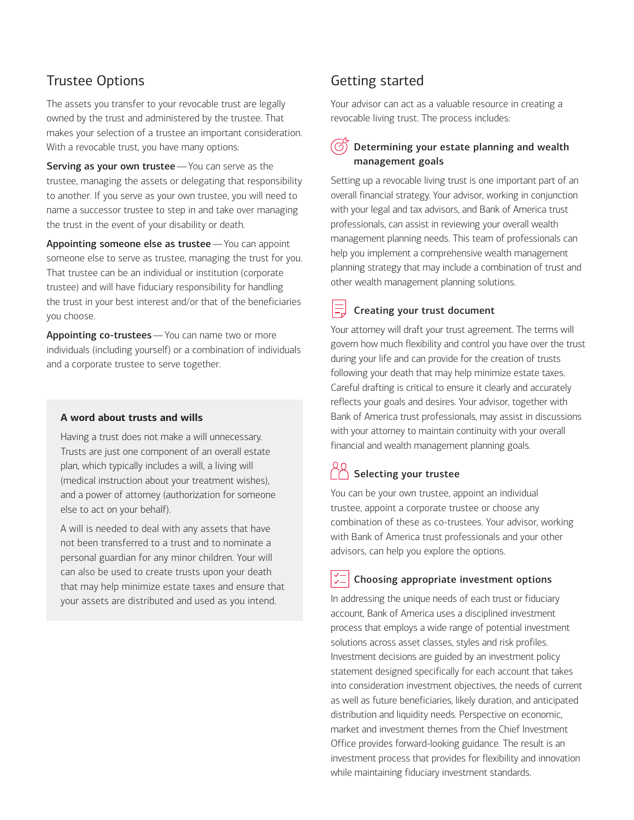# Trustee Options

The assets you transfer to your revocable trust are legally owned by the trust and administered by the trustee. That makes your selection of a trustee an important consideration. With a revocable trust, you have many options:

Serving as your own trustee - You can serve as the trustee, managing the assets or delegating that responsibility to another. If you serve as your own trustee, you will need to name a successor trustee to step in and take over managing the trust in the event of your disability or death.

Appointing someone else as trustee - You can appoint someone else to serve as trustee, managing the trust for you. That trustee can be an individual or institution (corporate trustee) and will have fiduciary responsibility for handling the trust in your best interest and/or that of the beneficiaries you choose.

Appointing co-trustees - You can name two or more individuals (including yourself) or a combination of individuals and a corporate trustee to serve together.

## **A word about trusts and wills**

Having a trust does not make a will unnecessary. Trusts are just one component of an overall estate plan, which typically includes a will, a living will (medical instruction about your treatment wishes), and a power of attorney (authorization for someone else to act on your behalf).

A will is needed to deal with any assets that have not been transferred to a trust and to nominate a personal guardian for any minor children. Your will can also be used to create trusts upon your death that may help minimize estate taxes and ensure that your assets are distributed and used as you intend.

# Getting started

Your advisor can act as a valuable resource in creating a revocable living trust. The process includes:

## Determining your estate planning and wealth management goals

Setting up a revocable living trust is one important part of an overall financial strategy. Your advisor, working in conjunction with your legal and tax advisors, and Bank of America trust professionals, can assist in reviewing your overall wealth management planning needs. This team of professionals can help you implement a comprehensive wealth management planning strategy that may include a combination of trust and other wealth management planning solutions.

# Creating your trust document

Your attorney will draft your trust agreement. The terms will govern how much flexibility and control you have over the trust during your life and can provide for the creation of trusts following your death that may help minimize estate taxes. Careful drafting is critical to ensure it clearly and accurately reflects your goals and desires. Your advisor, together with Bank of America trust professionals, may assist in discussions with your attorney to maintain continuity with your overall financial and wealth management planning goals.

# $\bigcap_{n=1}^{\infty}$  Selecting your trustee

You can be your own trustee, appoint an individual trustee, appoint a corporate trustee or choose any combination of these as co-trustees. Your advisor, working with Bank of America trust professionals and your other advisors, can help you explore the options.

## Choosing appropriate investment options

In addressing the unique needs of each trust or fiduciary account, Bank of America uses a disciplined investment process that employs a wide range of potential investment solutions across asset classes, styles and risk profiles. Investment decisions are guided by an investment policy statement designed specifically for each account that takes into consideration investment objectives, the needs of current as well as future beneficiaries, likely duration, and anticipated distribution and liquidity needs. Perspective on economic, market and investment themes from the Chief Investment Office provides forward-looking guidance. The result is an investment process that provides for flexibility and innovation while maintaining fiduciary investment standards.